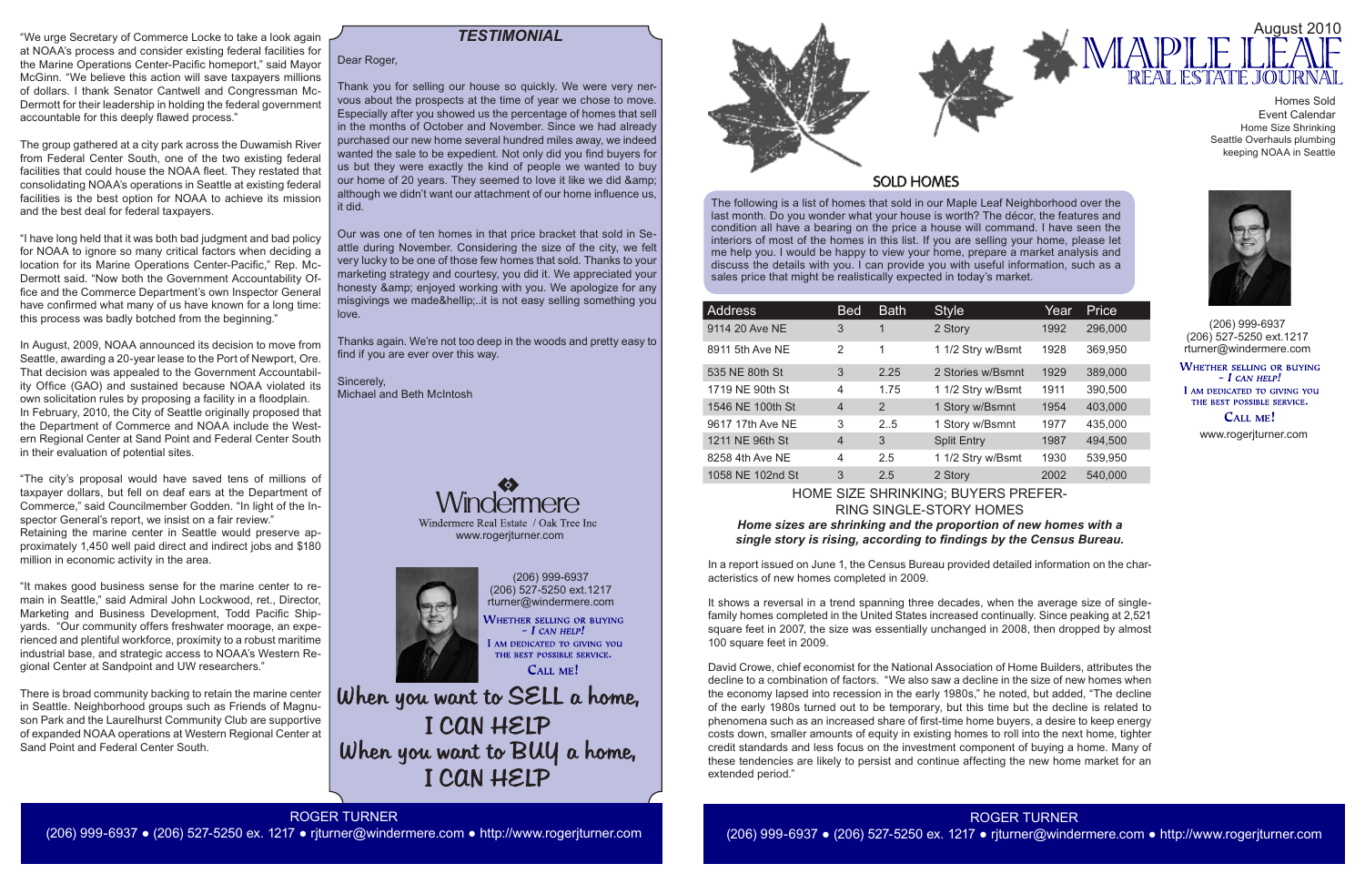The following is a list of homes that sold in our Maple Leaf Neighborhood over the last month. Do you wonder what your house is worth? The décor, the features and condition all have a bearing on the price a house will command. I have seen the interiors of most of the homes in this list. If you are selling your home, please let me help you. I would be happy to view your home, prepare a market analysis and discuss the details with you. I can provide you with useful information, such as a sales price that might be realistically expected in today's market.

(206) 999-6937 (206) 527-5250 ext.1217 rturner@windermere.com

WHETHER SELLING OR BUYING  $- I$  CAN HELP! I AM DEDICATED TO GIVING YOU THE BEST POSSIBLE SERVICE. CALL ME!

When you want to SELL a home, I CAN HELP When you want to BUY a home, I CAN HELP

| <b>Address</b>   | <b>Bed</b>     | <b>Bath</b> | <b>Style</b>       | Year | Price   |
|------------------|----------------|-------------|--------------------|------|---------|
| 9114 20 Ave NE   | 3              | 1           | 2 Story            | 1992 | 296,000 |
| 8911 5th Ave NE  | $\mathcal{P}$  | 1           | 1 1/2 Stry w/Bsmt  | 1928 | 369,950 |
| 535 NE 80th St   | 3              | 2.25        | 2 Stories w/Bsmnt  | 1929 | 389,000 |
| 1719 NE 90th St  | 4              | 1.75        | 1 1/2 Stry w/Bsmt  | 1911 | 390,500 |
| 1546 NE 100th St | $\overline{4}$ | 2           | 1 Story w/Bsmnt    | 1954 | 403,000 |
| 9617 17th Ave NE | 3              | 2.5         | 1 Story w/Bsmnt    | 1977 | 435,000 |
| 1211 NE 96th St  | $\overline{4}$ | 3           | <b>Split Entry</b> | 1987 | 494,500 |
| 8258 4th Ave NE  | 4              | 2.5         | 1 1/2 Stry w/Bsmt  | 1930 | 539,950 |
| 1058 NE 102nd St | 3              | 2.5         | 2 Story            | 2002 | 540,000 |

(206) 999-6937 (206) 527-5250 ext.1217 rturner@windermere.com

**WHETHER SELLING OR BUYING**  $-I$  CAN HELP! I AM DEDICATED TO GIVING YOU THE BEST POSSIBLE SERVICE.

CALL ME!

# *TESTIMONIAL*

www.rogerjturner.com



ROGER TURNER

(206) 999-6937 ● (206) 527-5250 ex. 1217 ● rjturner@windermere.com ● http://www.rogerjturner.com



HOME SIZE SHRINKING; BUYERS PREFER-RING SINGLE-STORY HOMES *Home sizes are shrinking and the proportion of new homes with a single story is rising, according to findings by the Census Bureau.* 

In a report issued on June 1, the Census Bureau provided detailed information on the characteristics of new homes completed in 2009.

It shows a reversal in a trend spanning three decades, when the average size of singlefamily homes completed in the United States increased continually. Since peaking at 2,521 square feet in 2007, the size was essentially unchanged in 2008, then dropped by almost 100 square feet in 2009.

David Crowe, chief economist for the National Association of Home Builders, attributes the decline to a combination of factors. "We also saw a decline in the size of new homes when the economy lapsed into recession in the early 1980s," he noted, but added, "The decline of the early 1980s turned out to be temporary, but this time but the decline is related to phenomena such as an increased share of first-time home buyers, a desire to keep energy costs down, smaller amounts of equity in existing homes to roll into the next home, tighter credit standards and less focus on the investment component of buying a home. Many of these tendencies are likely to persist and continue affecting the new home market for an extended period."

"We urge Secretary of Commerce Locke to take a look again at NOAA's process and consider existing federal facilities for the Marine Operations Center-Pacific homeport," said Mayor McGinn. "We believe this action will save taxpayers millions of dollars. I thank Senator Cantwell and Congressman Mc-Dermott for their leadership in holding the federal government accountable for this deeply flawed process."

The group gathered at a city park across the Duwamish River from Federal Center South, one of the two existing federal facilities that could house the NOAA fleet. They restated that consolidating NOAA's operations in Seattle at existing federal facilities is the best option for NOAA to achieve its mission and the best deal for federal taxpayers.



# **SOLD HOMES**

"I have long held that it was both bad judgment and bad policy for NOAA to ignore so many critical factors when deciding a location for its Marine Operations Center-Pacific," Rep. Mc-Dermott said. "Now both the Government Accountability Office and the Commerce Department's own Inspector General have confirmed what many of us have known for a long time: this process was badly botched from the beginning."

In August, 2009, NOAA announced its decision to move from Seattle, awarding a 20-year lease to the Port of Newport, Ore. That decision was appealed to the Government Accountability Office (GAO) and sustained because NOAA violated its own solicitation rules by proposing a facility in a floodplain. In February, 2010, the City of Seattle originally proposed that the Department of Commerce and NOAA include the Western Regional Center at Sand Point and Federal Center South in their evaluation of potential sites.

"The city's proposal would have saved tens of millions of taxpayer dollars, but fell on deaf ears at the Department of Commerce," said Councilmember Godden. "In light of the Inspector General's report, we insist on a fair review." Retaining the marine center in Seattle would preserve approximately 1,450 well paid direct and indirect jobs and \$180 million in economic activity in the area.

"It makes good business sense for the marine center to remain in Seattle," said Admiral John Lockwood, ret., Director, Marketing and Business Development, Todd Pacific Shipyards. "Our community offers freshwater moorage, an experienced and plentiful workforce, proximity to a robust maritime industrial base, and strategic access to NOAA's Western Regional Center at Sandpoint and UW researchers."

There is broad community backing to retain the marine center in Seattle. Neighborhood groups such as Friends of Magnuson Park and the Laurelhurst Community Club are supportive of expanded NOAA operations at Western Regional Center at Sand Point and Federal Center South.

#### Dear Roger,

Thank you for selling our house so quickly. We were very nervous about the prospects at the time of year we chose to move. Especially after you showed us the percentage of homes that sell in the months of October and November. Since we had already purchased our new home several hundred miles away, we indeed wanted the sale to be expedient. Not only did you find buyers for us but they were exactly the kind of people we wanted to buy our home of 20 years. They seemed to love it like we did & although we didn't want our attachment of our home influence us, it did.

Our was one of ten homes in that price bracket that sold in Seattle during November. Considering the size of the city, we felt very lucky to be one of those few homes that sold. Thanks to your marketing strategy and courtesy, you did it. We appreciated your honesty & amp; enjoyed working with you. We apologize for any misgivings we made&hellip:..it is not easy selling something you love.

Thanks again. We're not too deep in the woods and pretty easy to find if you are ever over this way.

Sincerely, Michael and Beth McIntosh